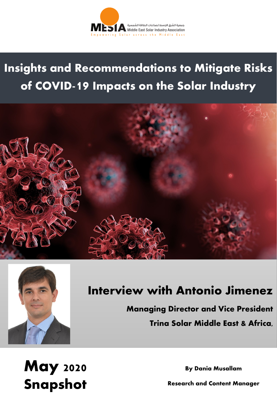

**Insights and Recommendations to Mitigate Risks of COVID-19 Impacts on the Solar Industry**





# **Interview with Antonio Jimenez**

**Managing Director and Vice President Trina Solar Middle East & Africa,** 

**May 2020 Snapshot**

**By Dania Musallam**

**Research and Content Manager**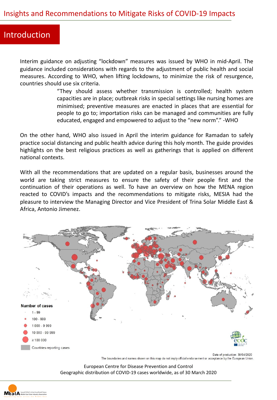### Introduction

Interim guidance on adjusting "lockdown" measures was issued by WHO in mid-April. The guidance included considerations with regards to the adjustment of public health and social measures. According to WHO, when lifting lockdowns, to minimize the risk of resurgence, countries should use six criteria.

> "They should assess whether transmission is controlled; health system capacities are in place; outbreak risks in special settings like nursing homes are minimised; preventive measures are enacted in places that are essential for people to go to; importation risks can be managed and communities are fully educated, engaged and empowered to adjust to the "new norm"." -WHO

On the other hand, WHO also issued in April the interim guidance for Ramadan to safely practice social distancing and public health advice during this holy month. The guide provides highlights on the best religious practices as well as gatherings that is applied on different national contexts.

With all the recommendations that are updated on a regular basis, businesses around the world are taking strict measures to ensure the safety of their people first and the continuation of their operations as well. To have an overview on how the MENA region reacted to COVID's impacts and the recommendations to mitigate risks, MESIA had the pleasure to interview the Managing Director and Vice President of Trina Solar Middle East & Africa, Antonio Jimenez.



The boundaries and names shown on this map do not imply official endorsement or acceptance by the European Union.

European Centre for Disease Prevention and Control Geographic distribution of COVID-19 cases worldwide, as of 30 March 2020

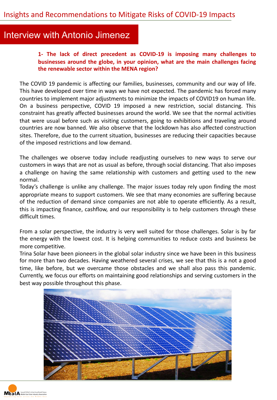# Interview with Antonio Jimenez

**1- The lack of direct precedent as COVID-19 is imposing many challenges to businesses around the globe, in your opinion, what are the main challenges facing the renewable sector within the MENA region?**

The COVID 19 pandemic is affecting our families, businesses, community and our way of life. This have developed over time in ways we have not expected. The pandemic has forced many countries to implement major adjustments to minimize the impacts of COVID19 on human life. On a business perspective, COVID 19 imposed a new restriction, social distancing. This constraint has greatly affected businesses around the world. We see that the normal activities that were usual before such as visiting customers, going to exhibitions and traveling around countries are now banned. We also observe that the lockdown has also affected construction sites. Therefore, due to the current situation, businesses are reducing their capacities because of the imposed restrictions and low demand.

The challenges we observe today include readjusting ourselves to new ways to serve our customers in ways that are not as usual as before, through social distancing. That also imposes a challenge on having the same relationship with customers and getting used to the new normal.

Today's challenge is unlike any challenge. The major issues today rely upon finding the most appropriate means to support customers. We see that many economies are suffering because of the reduction of demand since companies are not able to operate efficiently. As a result, this is impacting finance, cashflow, and our responsibility is to help customers through these difficult times.

From a solar perspective, the industry is very well suited for those challenges. Solar is by far the energy with the lowest cost. It is helping communities to reduce costs and business be more competitive.

Trina Solar have been pioneers in the global solar industry since we have been in this business for more than two decades. Having weathered several crises, we see that this is a not a good time, like before, but we overcame those obstacles and we shall also pass this pandemic. Currently, we focus our efforts on maintaining good relationships and serving customers in the best way possible throughout this phase.



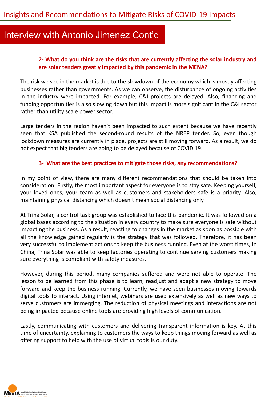## Interview with Antonio Jimenez Cont'd

#### **2- What do you think are the risks that are currently affecting the solar industry and are solar tenders greatly impacted by this pandemic in the MENA?**

The risk we see in the market is due to the slowdown of the economy which is mostly affecting businesses rather than governments. As we can observe, the disturbance of ongoing activities in the industry were impacted. For example, C&I projects are delayed. Also, financing and funding opportunities is also slowing down but this impact is more significant in the C&I sector rather than utility scale power sector.

Large tenders in the region haven't been impacted to such extent because we have recently seen that KSA published the second-round results of the NREP tender. So, even though lockdown measures are currently in place, projects are still moving forward. As a result, we do not expect that big tenders are going to be delayed because of COVID 19.

#### **3- What are the best practices to mitigate those risks, any recommendations?**

In my point of view, there are many different recommendations that should be taken into consideration. Firstly, the most important aspect for everyone is to stay safe. Keeping yourself, your loved ones, your team as well as customers and stakeholders safe is a priority. Also, maintaining physical distancing which doesn't mean social distancing only.

At Trina Solar, a control task group was established to face this pandemic. It was followed on a global bases according to the situation in every country to make sure everyone is safe without impacting the business. As a result, reacting to changes in the market as soon as possible with all the knowledge gained regularly is the strategy that was followed. Therefore, it has been very successful to implement actions to keep the business running. Even at the worst times, in China, Trina Solar was able to keep factories operating to continue serving customers making sure everything is compliant with safety measures.

However, during this period, many companies suffered and were not able to operate. The lesson to be learned from this phase is to learn, readjust and adapt a new strategy to move forward and keep the business running. Currently, we have seen businesses moving towards digital tools to interact. Using internet, webinars are used extensively as well as new ways to serve customers are immerging. The reduction of physical meetings and interactions are not being impacted because online tools are providing high levels of communication.

Lastly, communicating with customers and delivering transparent information is key. At this time of uncertainty, explaining to customers the ways to keep things moving forward as well as offering support to help with the use of virtual tools is our duty.

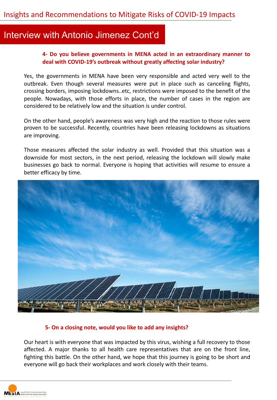## Interview with Antonio Jimenez Cont'd

#### **4- Do you believe governments in MENA acted in an extraordinary manner to deal with COVID-19's outbreak without greatly affecting solar industry?**

Yes, the governments in MENA have been very responsible and acted very well to the outbreak. Even though several measures were put in place such as canceling flights, crossing borders, imposing lockdowns..etc, restrictions were imposed to the benefit of the people. Nowadays, with those efforts in place, the number of cases in the region are considered to be relatively low and the situation is under control.

On the other hand, people's awareness was very high and the reaction to those rules were proven to be successful. Recently, countries have been releasing lockdowns as situations are improving.

Those measures affected the solar industry as well. Provided that this situation was a downside for most sectors, in the next period, releasing the lockdown will slowly make businesses go back to normal. Everyone is hoping that activities will resume to ensure a better efficacy by time.



#### **5- On a closing note, would you like to add any insights?**

Our heart is with everyone that was impacted by this virus, wishing a full recovery to those affected. A major thanks to all health care representatives that are on the front line, fighting this battle. On the other hand, we hope that this journey is going to be short and everyone will go back their workplaces and work closely with their teams.